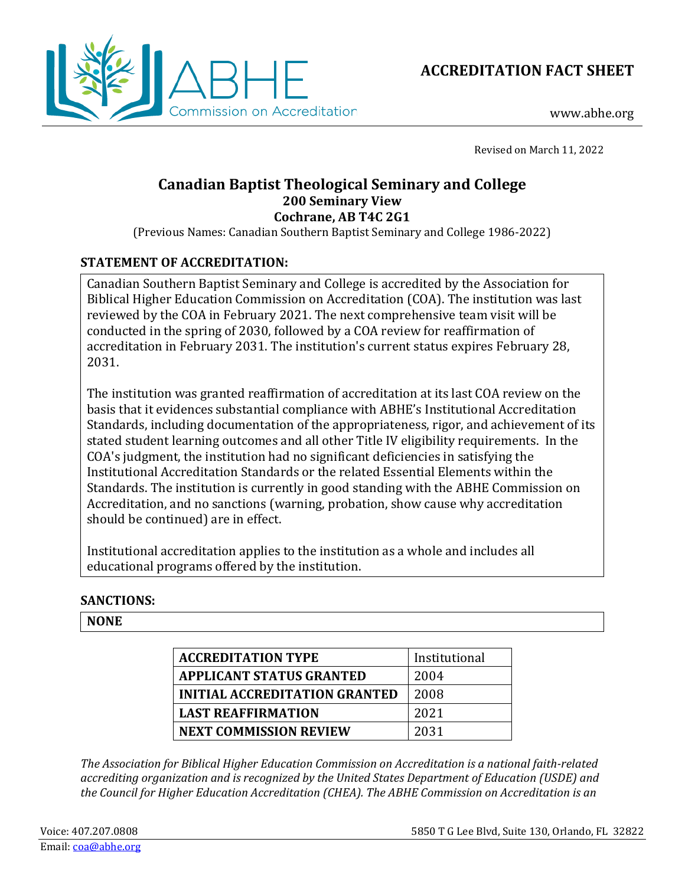



www.abhe.org

Revised on March 11, 2022

# **Canadian Baptist Theological Seminary and College 200 Seminary View Cochrane, AB T4C 2G1**

(Previous Names: Canadian Southern Baptist Seminary and College 1986-2022)

## **STATEMENT OF ACCREDITATION:**

Canadian Southern Baptist Seminary and College is accredited by the Association for Biblical Higher Education Commission on Accreditation (COA). The institution was last reviewed by the COA in February 2021. The next comprehensive team visit will be conducted in the spring of 2030, followed by a COA review for reaffirmation of accreditation in February 2031. The institution's current status expires February 28, 2031.

The institution was granted reaffirmation of accreditation at its last COA review on the basis that it evidences substantial compliance with ABHE's Institutional Accreditation Standards, including documentation of the appropriateness, rigor, and achievement of its stated student learning outcomes and all other Title IV eligibility requirements. In the COA's judgment, the institution had no significant deficiencies in satisfying the Institutional Accreditation Standards or the related Essential Elements within the Standards. The institution is currently in good standing with the ABHE Commission on Accreditation, and no sanctions (warning, probation, show cause why accreditation should be continued) are in effect.

Institutional accreditation applies to the institution as a whole and includes all educational programs offered by the institution.

### **SANCTIONS:**

### **NONE**

| <b>ACCREDITATION TYPE</b>            | Institutional |
|--------------------------------------|---------------|
| <b>APPLICANT STATUS GRANTED</b>      | 2004          |
| <b>INITIAL ACCREDITATION GRANTED</b> | 2008          |
| <b>LAST REAFFIRMATION</b>            | 2021          |
| <b>NEXT COMMISSION REVIEW</b>        | 2031          |

*The Association for Biblical Higher Education Commission on Accreditation is a national faith-related accrediting organization and is recognized by the United States Department of Education (USDE) and the Council for Higher Education Accreditation (CHEA). The ABHE Commission on Accreditation is an*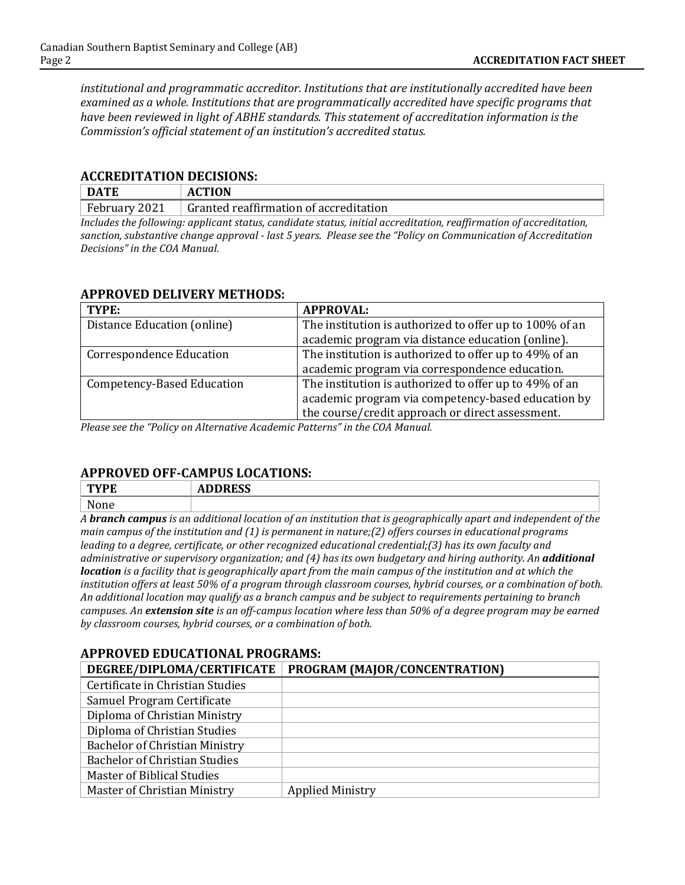*institutional and programmatic accreditor. Institutions that are institutionally accredited have been examined as a whole. Institutions that are programmatically accredited have specific programs that have been reviewed in light of ABHE standards. This statement of accreditation information is the Commission's official statement of an institution's accredited status.*

#### **ACCREDITATION DECISIONS:**

| <b>DATE</b>      | <b>ACTION</b>                          |     |  |     |  |  |
|------------------|----------------------------------------|-----|--|-----|--|--|
| $F$ ebruary 2021 | Granted reaffirmation of accreditation |     |  |     |  |  |
| .                | . .                                    | . . |  | --- |  |  |

*Includes the following: applicant status, candidate status, initial accreditation, reaffirmation of accreditation, sanction, substantive change approval - last 5 years. Please see the "Policy on Communication of Accreditation Decisions" in the COA Manual.*

#### **APPROVED DELIVERY METHODS:**

| TYPE:                           | <b>APPROVAL:</b>                                        |  |
|---------------------------------|---------------------------------------------------------|--|
| Distance Education (online)     | The institution is authorized to offer up to 100% of an |  |
|                                 | academic program via distance education (online).       |  |
| <b>Correspondence Education</b> | The institution is authorized to offer up to 49% of an  |  |
|                                 | academic program via correspondence education.          |  |
| Competency-Based Education      | The institution is authorized to offer up to 49% of an  |  |
|                                 | academic program via competency-based education by      |  |
|                                 | the course/credit approach or direct assessment.        |  |

*Please see the "Policy on Alternative Academic Patterns" in the COA Manual.*

### **APPROVED OFF-CAMPUS LOCATIONS:**

| $\mathbf{m}\mathbf{v}\mathbf{n}$<br>ГС | $\mathbf{r}$<br>ADDINEJJ |
|----------------------------------------|--------------------------|
| $N$ one<br>one                         |                          |

*A branch campus is an additional location of an institution that is geographically apart and independent of the main campus of the institution and (1) is permanent in nature;(2) offers courses in educational programs leading to a degree, certificate, or other recognized educational credential;(3) has its own faculty and administrative or supervisory organization; and (4) has its own budgetary and hiring authority. An additional location is a facility that is geographically apart from the main campus of the institution and at which the institution offers at least 50% of a program through classroom courses, hybrid courses, or a combination of both. An additional location may qualify as a branch campus and be subject to requirements pertaining to branch campuses. An extension site is an off-campus location where less than 50% of a degree program may be earned by classroom courses, hybrid courses, or a combination of both.*

### **APPROVED EDUCATIONAL PROGRAMS:**

| DEGREE/DIPLOMA/CERTIFICATE            | PROGRAM (MAJOR/CONCENTRATION) |
|---------------------------------------|-------------------------------|
| Certificate in Christian Studies      |                               |
| Samuel Program Certificate            |                               |
| Diploma of Christian Ministry         |                               |
| Diploma of Christian Studies          |                               |
| <b>Bachelor of Christian Ministry</b> |                               |
| <b>Bachelor of Christian Studies</b>  |                               |
| Master of Biblical Studies            |                               |
| Master of Christian Ministry          | <b>Applied Ministry</b>       |